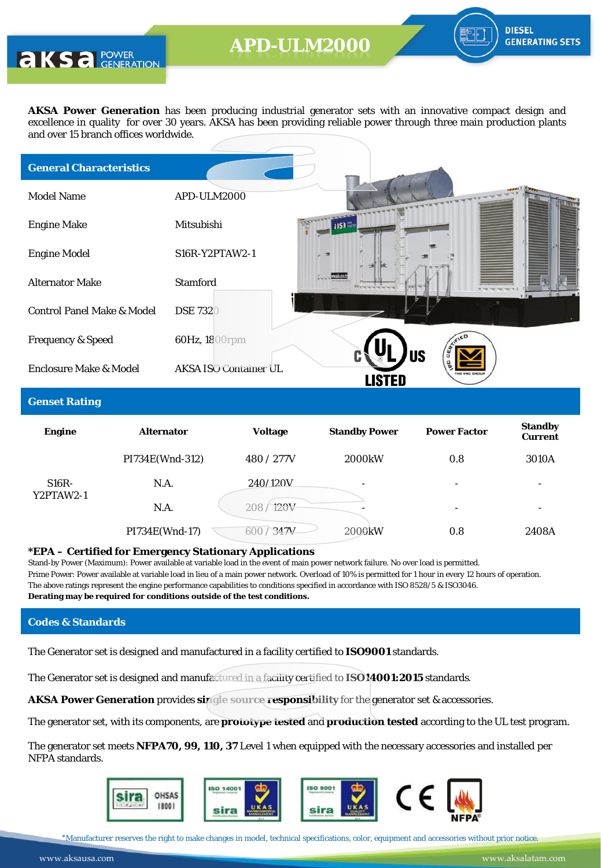**AKS** a POWER

**AKSA Power Generation** has been producing industrial generator sets with an innovative compact design and excellence in quality for over 30 years. AKSA has been providing reliable power through three main production plants and over 15 branch offices worldwide.

| <b>General Characteristics</b>        |                                                                             |  |
|---------------------------------------|-----------------------------------------------------------------------------|--|
| <b>Model Name</b>                     | APD-ULM2000                                                                 |  |
| <b>Engine Make</b>                    | Mitsubishi<br><b>ISE</b>                                                    |  |
| <b>Engine Model</b>                   | S16R-Y2PTAW2-1                                                              |  |
| <b>Alternator Make</b>                | <b>Stamford</b>                                                             |  |
| <b>Control Panel Make &amp; Model</b> | <b>DSE 7320</b>                                                             |  |
| <b>Frequency &amp; Speed</b>          | 60Hz, 1800rpm                                                               |  |
| <b>Enclosure Make &amp; Model</b>     | <b>US</b><br><b>AKSA ISO Container UL</b><br><b>THE VINE GROUP</b><br>Isted |  |
|                                       |                                                                             |  |

#### **Genset Rating**

| <b>Engine</b>        | <b>Alternator</b> | <b>Voltage</b> | <b>Standby Power</b> | <b>Power Factor</b> | <b>Standby</b><br><b>Current</b> |
|----------------------|-------------------|----------------|----------------------|---------------------|----------------------------------|
|                      | PI734E(Wnd-312)   | 480 / 277V     | 2000 <sub>k</sub> W  | 0.8                 | 3010A                            |
| $S16R-$<br>Y2PTAW2-1 | N.A.              | 240/120V       | -                    | -                   | -                                |
|                      | N.A.              | 208/120V       | -                    | ۰                   | ۰                                |
|                      | PI734E(Wnd-17)    | 347V<br>600    | 2000kW               | 0.8                 | 2408A                            |

#### **\*EPA – Certified for Emergency Stationary Applications**

Stand-by Power (Maximum): Power available at variable load in the event of main power network failure. No over load is permitted. Prime Power: Power available at variable load in lieu of a main power network. Overload of 10% is permitted for 1 hour in every 12 hours of operation. The above ratings represent the engine performance capabilities to conditions specified in accordance with ISO 8528/5 & ISO3046. **Derating may be required for conditions outside of the test conditions.**

### **Codes & Standards**

The Generator set is designed and manufactured in a facility certified to **ISO9001** standards.

The Generator set is designed and manufactured in a facility certified to **ISO14001:2015** standards.

**AKSA Power Generation** provides **single source responsibility** for the generator set & accessories.

The generator set, with its components, are **prototype tested** and **production tested** according to the UL test program.

The generator set meets **NFPA70, 99, 110, 37** Level 1 when equipped with the necessary accessories and installed per NFPA standards.



\*Manufacturer reserves the right to make changes in model, technical specifications, color, equipment and accessories without prior notice.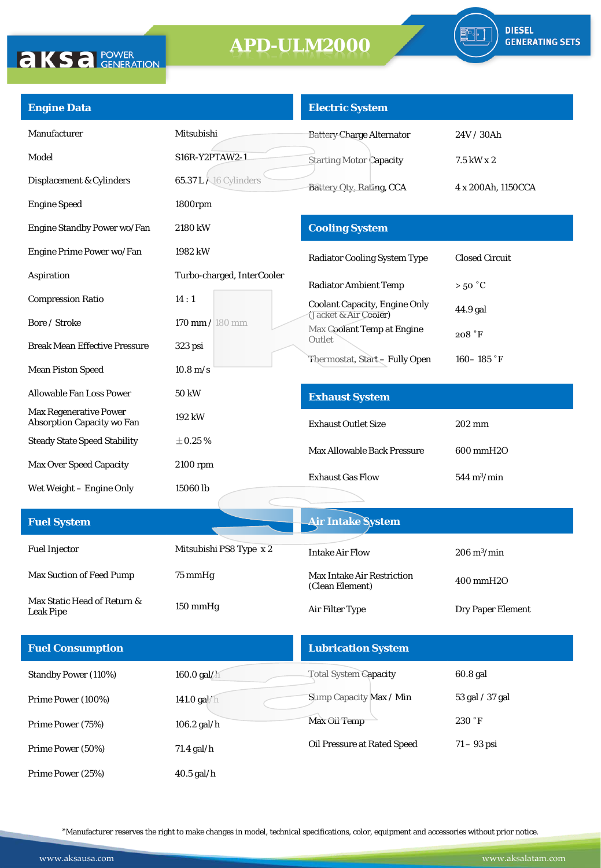

| <b>Engine Data</b>                                                 |                                   | <b>Electric System</b>                               |                              |
|--------------------------------------------------------------------|-----------------------------------|------------------------------------------------------|------------------------------|
| Manufacturer                                                       | Mitsubishi                        | <b>Battery Charge Alternator</b>                     | 24V / 30Ah                   |
| Model                                                              | S16R-Y2PTAW2-1                    | <b>Starting Motor Capacity</b>                       | 7.5 kW x 2                   |
| Displacement & Cylinders                                           | <b>65.37 L X16 Cylinders</b>      | Battery Oty, Rating, CCA                             | 4 x 200Ah, 1150CCA           |
| <b>Engine Speed</b>                                                | 1800rpm                           |                                                      |                              |
| Engine Standby Power wo/Fan                                        | 2180 kW                           | <b>Cooling System</b>                                |                              |
| Engine Prime Power wo/Fan                                          | 1982 kW                           | <b>Radiator Cooling System Type</b>                  | <b>Closed Circuit</b>        |
| Aspiration                                                         | Turbo-charged, InterCooler        | <b>Radiator Ambient Temp</b>                         | $>50\degree C$               |
| <b>Compression Ratio</b>                                           | 14:1                              | <b>Coolant Capacity, Engine Only</b>                 | 44.9 gal                     |
| Bore / Stroke                                                      | $170 \text{ mm} / 180 \text{ mm}$ | (Jacket & Air Cooler)<br>Max Coolant Temp at Engine  | 208 °F                       |
| <b>Break Mean Effective Pressure</b>                               | 323 psi                           | Outlet                                               |                              |
| <b>Mean Piston Speed</b>                                           | $10.8 \,\mathrm{m/s}$             | Thermostat, Start-Fully Open                         | 160 – 185 °F                 |
| <b>Allowable Fan Loss Power</b>                                    | 50 kW                             | <b>Exhaust System</b>                                |                              |
| <b>Max Regenerative Power</b><br><b>Absorption Capacity wo Fan</b> | 192 kW                            | <b>Exhaust Outlet Size</b>                           | 202 mm                       |
| <b>Steady State Speed Stability</b>                                | $\pm 0.25$ %                      | <b>Max Allowable Back Pressure</b>                   | 600 mmH2O                    |
| <b>Max Over Speed Capacity</b>                                     | 2100 rpm                          |                                                      |                              |
| Wet Weight - Engine Only                                           | 15060 lb                          | <b>Exhaust Gas Flow</b>                              | $544 \text{ m}^3/\text{min}$ |
| <b>Fuel System</b>                                                 |                                   | <b>Air Intake System</b>                             |                              |
|                                                                    |                                   |                                                      |                              |
| <b>Fuel Injector</b>                                               | Mitsubishi PS8 Type x 2           | <b>Intake Air Flow</b>                               | $206 \text{ m}^3/\text{min}$ |
| Max Suction of Feed Pump                                           | 75 mmHg                           | <b>Max Intake Air Restriction</b><br>(Clean Element) | 400 mmH2O                    |
| Max Static Head of Return &<br><b>Leak Pipe</b>                    | 150 mmHg                          | Air Filter Type                                      | Dry Paper Element            |
|                                                                    |                                   |                                                      |                              |
| <b>Fuel Consumption</b>                                            |                                   | <b>Lubrication System</b>                            |                              |
| Standby Power (110%)                                               | 160.0 gal/h                       | Total System Capacity                                | 60.8 gal                     |
| Prime Power (100%)                                                 | 141.0 gal/h                       | Sump Capacity Max / Min                              | 53 gal / 37 gal              |
| Prime Power (75%)                                                  | 106.2 gal/h                       | Max Oil Temp                                         | 230 °F                       |
| Prime Power (50%)                                                  | 71.4 gal/h                        | Oil Pressure at Rated Speed                          | $71 - 93$ psi                |
| Prime Power (25%)                                                  | $40.5$ gal/h                      |                                                      |                              |

\*Manufacturer reserves the right to make changes in model, technical specifications, color, equipment and accessories without prior notice.

**AKSA POWER**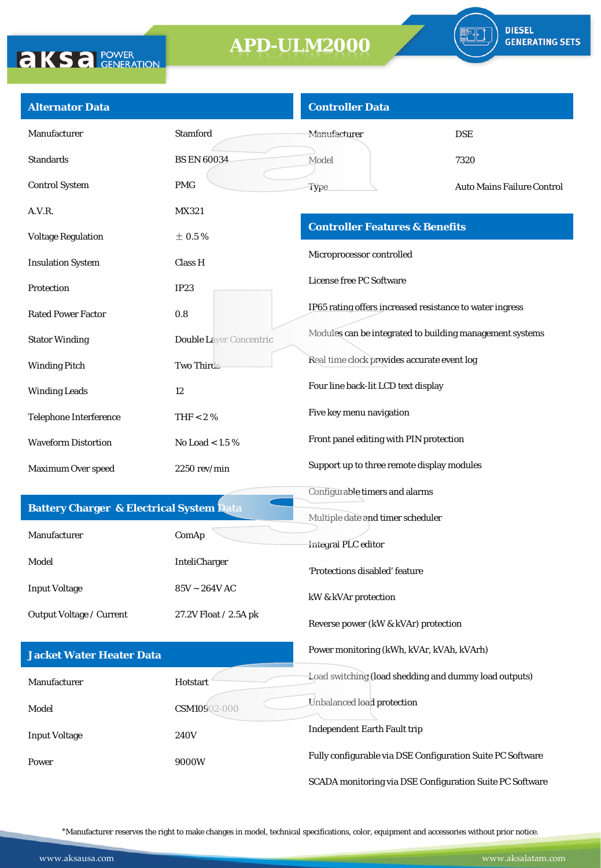

| <b>Alternator Data</b>                              |                                      | <b>Controller Data</b>                                     |                            |
|-----------------------------------------------------|--------------------------------------|------------------------------------------------------------|----------------------------|
| Manufacturer                                        | <b>Stamford</b>                      | <b>Manufacturer</b>                                        | <b>DSE</b>                 |
| <b>Standards</b>                                    | <b>BS EN 60034</b>                   | Model                                                      | 7320                       |
| <b>Control System</b>                               | <b>PMG</b>                           | Type                                                       | Auto Mains Failure Control |
| A.V.R.                                              | MX321                                |                                                            |                            |
| <b>Voltage Regulation</b>                           | $\pm$ 0.5%                           | <b>Controller Features &amp; Benefits</b>                  |                            |
| <b>Insulation System</b>                            | Class H                              | Microprocessor controlled                                  |                            |
| Protection                                          | IP23                                 | License free PC Software                                   |                            |
| <b>Rated Power Factor</b>                           | 0.8                                  | IP65 rating offers increased resistance to water ingress   |                            |
| <b>Stator Winding</b>                               | <b>Double Laver Concentric</b>       | Modules can be integrated to building management systems   |                            |
| <b>Winding Pitch</b>                                | Two Thirds                           | Real time clock provides accurate event log                |                            |
| <b>Winding Leads</b>                                | 12                                   | Four line back-lit LCD text display                        |                            |
| Telephone Interference                              | THF $< 2 \%$                         | Five key menu navigation                                   |                            |
| <b>Waveform Distortion</b>                          | No Load < 1.5 $%$                    | Front panel editing with PIN protection                    |                            |
| Maximum Over speed                                  | 2250 rev/min                         | Support up to three remote display modules                 |                            |
|                                                     |                                      | Configurable timers and alarms                             |                            |
| <b>Battery Charger &amp; Electrical System Data</b> |                                      | Multiple date and timer scheduler                          |                            |
| Manufacturer                                        | ComAp                                | Integral PLC editor                                        |                            |
| Model                                               | InteliCharger                        | 'Protections disabled' feature                             |                            |
| <b>Input Voltage</b>                                | $85\textrm{V} \sim 264\textrm{V}$ AC | kW & kVAr protection                                       |                            |
| Output Voltage / Current                            | 27.2V Float / 2.5A pk                | Reverse power (kW & kVAr) protection                       |                            |
| <b>Jacket Water Heater Data</b>                     |                                      | Power monitoring (kWh, kVAr, kVAh, kVArh)                  |                            |
| Manufacturer                                        | Hotstart                             | Load switching (load shedding and dummy load outputs)      |                            |
| Model                                               | CSM10902-000                         | Unbalanced load protection                                 |                            |
| <b>Input Voltage</b>                                | <b>240V</b>                          | <b>Independent Earth Fault trip</b>                        |                            |
| Power                                               | 9000W                                | Fully configurable via DSE Configuration Suite PC Software |                            |
|                                                     |                                      | SCADA monitoring via DSE Configuration Suite PC Software   |                            |

\*Manufacturer reserves the right to make changes in model, technical specifications, color, equipment and accessories without prior notice.

**AKSA POWER**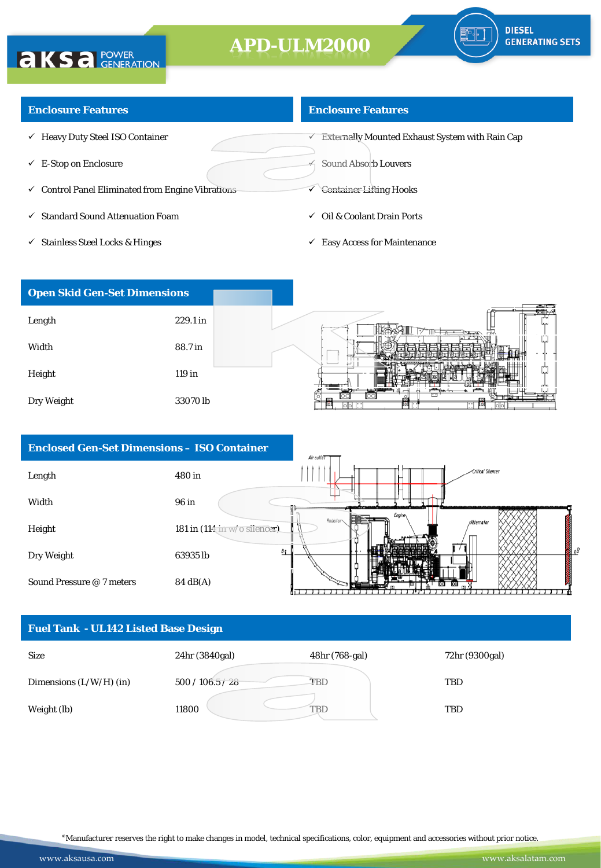### **Enclosure Features**

**AKSA POWER** 

- $\checkmark$  Heavy Duty Steel ISO Container
- $\checkmark$  E-Stop on Enclosure
- $\checkmark$  Control Panel Eliminated from Engine Vibrations
- $\checkmark$  Standard Sound Attenuation Foam
- $\checkmark$  Stainless Steel Locks & Hinges

### **Enclosure Features**

 $\overline{\mathsf{C}}$  Externally Mounted Exhaust System with Rain Cap

Sound Absorb Louvers

- Container Lifting Hooks
- $\checkmark$  Oil & Coolant Drain Ports
- $\checkmark$  Easy Access for Maintenance



| <b>Enclosed Gen-Set Dimensions - ISO Container</b> |                              | Air outlet                              |
|----------------------------------------------------|------------------------------|-----------------------------------------|
| Length                                             | 480 in                       | -Critical Silencer                      |
| Width                                              | 96 in                        |                                         |
| Height                                             | 181 in (114 in w/o silencer) | Engine<br>Radiator<br><b>Alternator</b> |
| Dry Weight                                         | Bł<br>63935 lb               |                                         |
| Sound Pressure @ 7 meters                          | 84 dB(A)                     |                                         |

### **Fuel Tank - UL142 Listed Base Design**



\*Manufacturer reserves the right to make changes in model, technical specifications, color, equipment and accessories without prior notice.